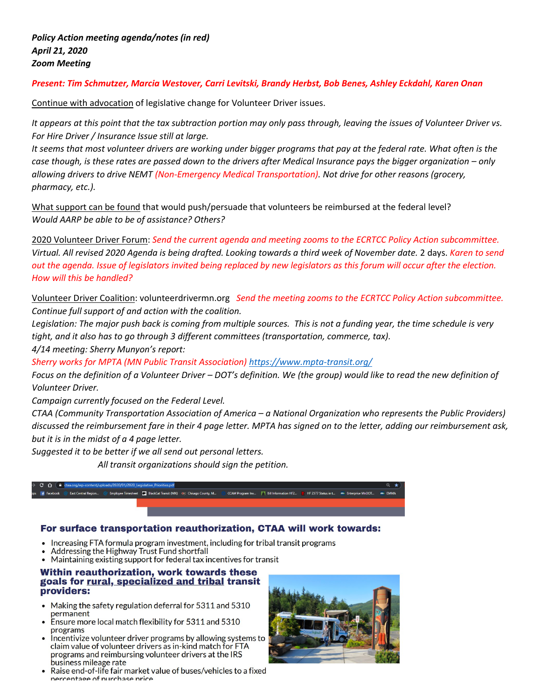# *Present: Tim Schmutzer, Marcia Westover, Carri Levitski, Brandy Herbst, Bob Benes, Ashley Eckdahl, Karen Onan*

Continue with advocation of legislative change for Volunteer Driver issues.

*It appears at this point that the tax subtraction portion may only pass through, leaving the issues of Volunteer Driver vs. For Hire Driver / Insurance Issue still at large.* 

*It seems that most volunteer drivers are working under bigger programs that pay at the federal rate. What often is the case though, is these rates are passed down to the drivers after Medical Insurance pays the bigger organization – only allowing drivers to drive NEMT (Non-Emergency Medical Transportation). Not drive for other reasons (grocery, pharmacy, etc.).*

What support can be found that would push/persuade that volunteers be reimbursed at the federal level? *Would AARP be able to be of assistance? Others?*

2020 Volunteer Driver Forum: *Send the current agenda and meeting zooms to the ECRTCC Policy Action subcommittee. Virtual. All revised 2020 Agenda is being drafted. Looking towards a third week of November date.* 2 days. *Karen to send out the agenda. Issue of legislators invited being replaced by new legislators as this forum will occur after the election. How will this be handled?*

Volunteer Driver Coalition: volunteerdrivermn.org *Send the meeting zooms to the ECRTCC Policy Action subcommittee. Continue full support of and action with the coalition.* 

*Legislation: The major push back is coming from multiple sources. This is not a funding year, the time schedule is very tight, and it also has to go through 3 different committees (transportation, commerce, tax).* 

*4/14 meeting: Sherry Munyon's report:* 

*Sherry works for MPTA (MN Public Transit Association)<https://www.mpta-transit.org/>*

*Focus on the definition of a Volunteer Driver – DOT's definition. We (the group) would like to read the new definition of Volunteer Driver.*

*Campaign currently focused on the Federal Level.*

*CTAA (Community Transportation Association of America – a National Organization who represents the Public Providers) discussed the reimbursement fare in their 4 page letter. MPTA has signed on to the letter, adding our reimbursement ask, but it is in the midst of a 4 page letter.* 

*Suggested it to be better if we all send out personal letters.* 

 *All transit organizations should sign the petition.*

#### East Cer sheet **BlackCat Transit (MN)** CCAM Program Inv... | | | | | | Bill Information HF2... HF 2377 Status in t...

## For surface transportation reauthorization, CTAA will work towards:

- Increasing FTA formula program investment, including for tribal transit programs
- Addressing the Highway Trust Fund shortfall
- Maintaining existing support for federal tax incentives for transit

#### Within reauthorization, work towards these goals for rural, specialized and tribal transit providers:

- $\bullet$  Making the safety regulation deferral for 5311 and 5310 permanent
- Ensure more local match flexibility for 5311 and 5310 programs
- Incentivize volunteer driver programs by allowing systems to claim value of volunteer drivers as in-kind match for FTA programs and reimbursing volunteer drivers at the IRS business mileage rate
- Raise end-of-life fair market value of buses/vehicles to a fixed nercentage of nurchase price